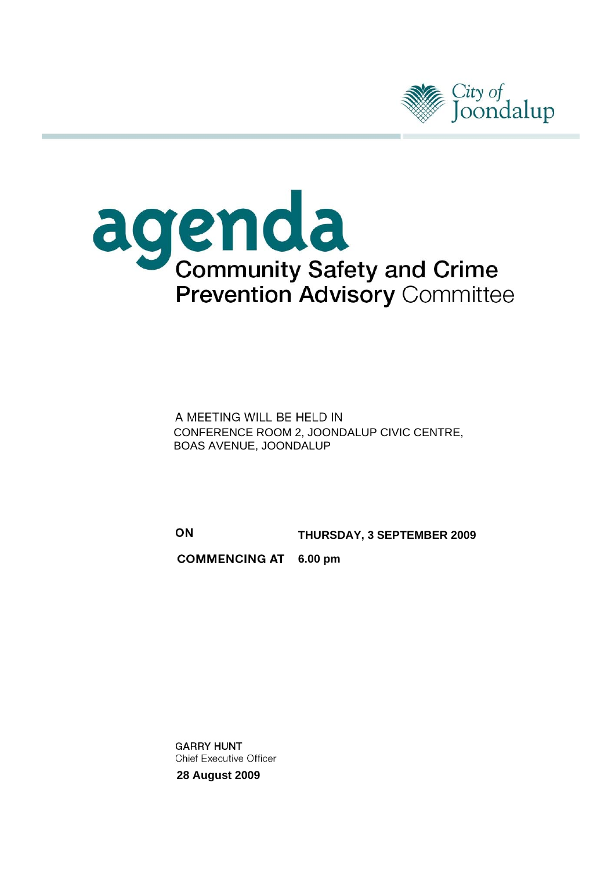



A MEETING WILL BE HELD IN<br>CONFERENCE ROOM 2, JOONDALUP CIVIC CENTRE, BOAS AVENUE, JOONDALUP

ON **THURSDAY, 3 SEPTEMBER 2009**

**COMMENCING AT 6.00 pm** 

**GARRY HUNT Chief Executive Officer 28 August 2009**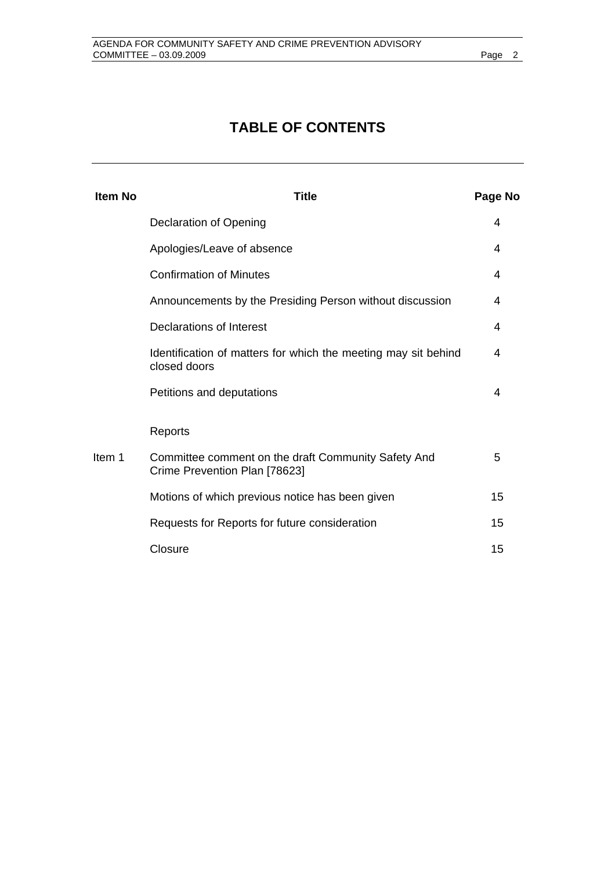# **TABLE OF CONTENTS**

| Page No                                                                                                                                                                                                                                                                               |
|---------------------------------------------------------------------------------------------------------------------------------------------------------------------------------------------------------------------------------------------------------------------------------------|
| 4                                                                                                                                                                                                                                                                                     |
| 4                                                                                                                                                                                                                                                                                     |
| 4                                                                                                                                                                                                                                                                                     |
| 4                                                                                                                                                                                                                                                                                     |
| 4                                                                                                                                                                                                                                                                                     |
| 4                                                                                                                                                                                                                                                                                     |
| 4                                                                                                                                                                                                                                                                                     |
|                                                                                                                                                                                                                                                                                       |
| 5                                                                                                                                                                                                                                                                                     |
| 15                                                                                                                                                                                                                                                                                    |
| 15                                                                                                                                                                                                                                                                                    |
| 15                                                                                                                                                                                                                                                                                    |
| Announcements by the Presiding Person without discussion<br>Identification of matters for which the meeting may sit behind<br>Committee comment on the draft Community Safety And<br>Motions of which previous notice has been given<br>Requests for Reports for future consideration |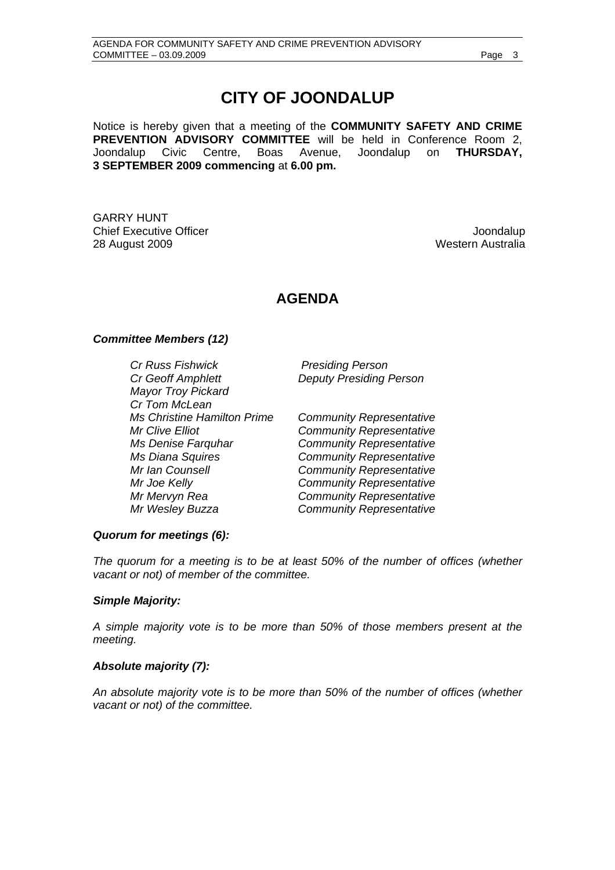## **CITY OF JOONDALUP**

Notice is hereby given that a meeting of the **COMMUNITY SAFETY AND CRIME PREVENTION ADVISORY COMMITTEE** will be held in Conference Room 2, Joondalup Civic Centre, Boas Avenue, Joondalup on **THURSDAY, 3 SEPTEMBER 2009 commencing** at **6.00 pm.** 

GARRY HUNT Chief Executive Officer  $\Box$  Joondalup 28 August 2009 Western Australia

## **AGENDA**

## *Committee Members (12)*

*Cr Russ Fishwick Presiding Person Cr Geoff Amphlett Deputy Presiding Person Mayor Troy Pickard Cr Tom McLean Ms Christine Hamilton Prime Community Representative Mr Clive Elliot Community Representative Ms Denise Farquhar Community Representative Ms Diana Squires Community Representative Mr Ian Counsell Community Representative Mr Joe Kelly Community Representative Mr Mervyn Rea Community Representative Mr Wesley Buzza Community Representative* 

## *Quorum for meetings (6):*

*The quorum for a meeting is to be at least 50% of the number of offices (whether vacant or not) of member of the committee.* 

## *Simple Majority:*

*A simple majority vote is to be more than 50% of those members present at the meeting.* 

## *Absolute majority (7):*

*An absolute majority vote is to be more than 50% of the number of offices (whether vacant or not) of the committee.*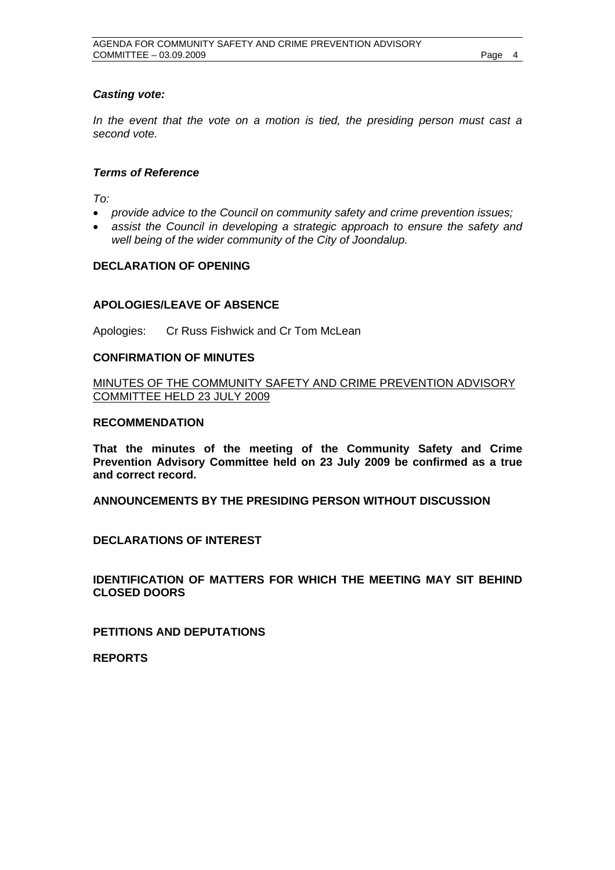## <span id="page-3-0"></span>*Casting vote:*

*In the event that the vote on a motion is tied, the presiding person must cast a second vote.* 

#### *Terms of Reference*

*To:* 

- *provide advice to the Council on community safety and crime prevention issues;*
- *assist the Council in developing a strategic approach to ensure the safety and well being of the wider community of the City of Joondalup.*

## **DECLARATION OF OPENING**

#### **APOLOGIES/LEAVE OF ABSENCE**

Apologies: Cr Russ Fishwick and Cr Tom McLean

### **CONFIRMATION OF MINUTES**

MINUTES OF THE COMMUNITY SAFETY AND CRIME PREVENTION ADVISORY COMMITTEE HELD 23 JULY 2009

#### **RECOMMENDATION**

**That the minutes of the meeting of the Community Safety and Crime Prevention Advisory Committee held on 23 July 2009 be confirmed as a true and correct record.** 

**ANNOUNCEMENTS BY THE PRESIDING PERSON WITHOUT DISCUSSION** 

**DECLARATIONS OF INTEREST** 

**IDENTIFICATION OF MATTERS FOR WHICH THE MEETING MAY SIT BEHIND CLOSED DOORS** 

**PETITIONS AND DEPUTATIONS** 

**REPORTS**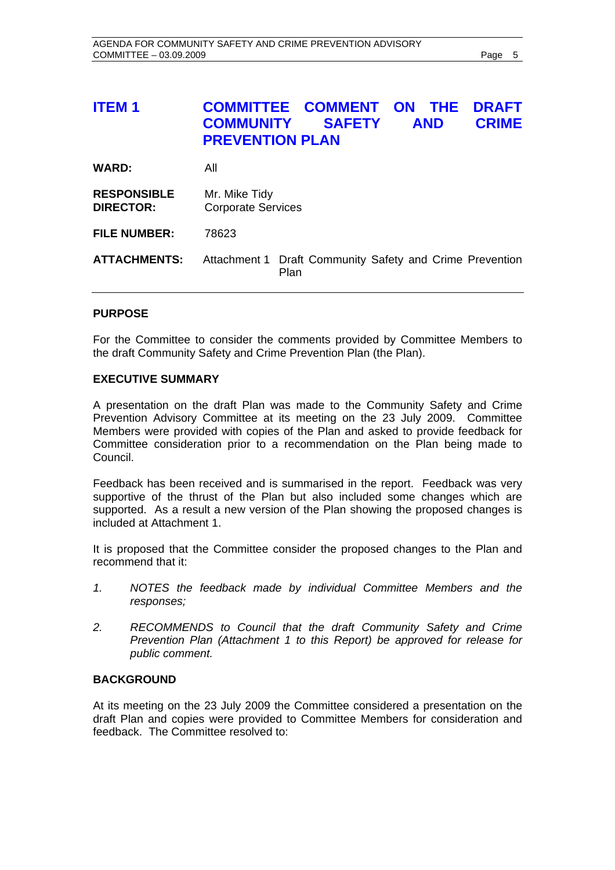## <span id="page-4-0"></span>**ITEM 1 COMMITTEE COMMENT ON THE DRAFT COMMUNITY SAFETY AND CRIME PREVENTION PLAN**

| <b>WARD:</b>                           | All                                                                     |
|----------------------------------------|-------------------------------------------------------------------------|
| <b>RESPONSIBLE</b><br><b>DIRECTOR:</b> | Mr. Mike Tidy<br><b>Corporate Services</b>                              |
| <b>FILE NUMBER:</b>                    | 78623                                                                   |
| <b>ATTACHMENTS:</b>                    | Attachment 1 Draft Community Safety and Crime Prevention<br><b>Plan</b> |

## **PURPOSE**

For the Committee to consider the comments provided by Committee Members to the draft Community Safety and Crime Prevention Plan (the Plan).

## **EXECUTIVE SUMMARY**

A presentation on the draft Plan was made to the Community Safety and Crime Prevention Advisory Committee at its meeting on the 23 July 2009. Committee Members were provided with copies of the Plan and asked to provide feedback for Committee consideration prior to a recommendation on the Plan being made to Council.

Feedback has been received and is summarised in the report. Feedback was very supportive of the thrust of the Plan but also included some changes which are supported. As a result a new version of the Plan showing the proposed changes is included at Attachment 1.

It is proposed that the Committee consider the proposed changes to the Plan and recommend that it:

- *1. NOTES the feedback made by individual Committee Members and the responses;*
- *2. RECOMMENDS to Council that the draft Community Safety and Crime Prevention Plan (Attachment 1 to this Report) be approved for release for public comment.*

## **BACKGROUND**

At its meeting on the 23 July 2009 the Committee considered a presentation on the draft Plan and copies were provided to Committee Members for consideration and feedback. The Committee resolved to: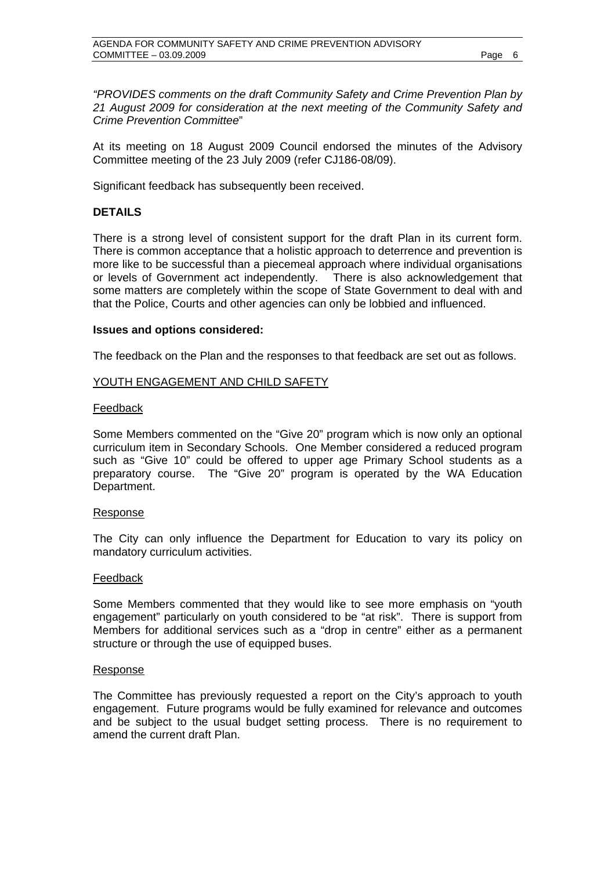*"PROVIDES comments on the draft Community Safety and Crime Prevention Plan by 21 August 2009 for consideration at the next meeting of the Community Safety and Crime Prevention Committee*"

At its meeting on 18 August 2009 Council endorsed the minutes of the Advisory Committee meeting of the 23 July 2009 (refer CJ186-08/09).

Significant feedback has subsequently been received.

## **DETAILS**

There is a strong level of consistent support for the draft Plan in its current form. There is common acceptance that a holistic approach to deterrence and prevention is more like to be successful than a piecemeal approach where individual organisations or levels of Government act independently. There is also acknowledgement that some matters are completely within the scope of State Government to deal with and that the Police, Courts and other agencies can only be lobbied and influenced.

## **Issues and options considered:**

The feedback on the Plan and the responses to that feedback are set out as follows.

#### YOUTH ENGAGEMENT AND CHILD SAFETY

#### Feedback

Some Members commented on the "Give 20" program which is now only an optional curriculum item in Secondary Schools. One Member considered a reduced program such as "Give 10" could be offered to upper age Primary School students as a preparatory course. The "Give 20" program is operated by the WA Education Department.

#### Response

The City can only influence the Department for Education to vary its policy on mandatory curriculum activities.

#### Feedback

Some Members commented that they would like to see more emphasis on "youth engagement" particularly on youth considered to be "at risk". There is support from Members for additional services such as a "drop in centre" either as a permanent structure or through the use of equipped buses.

#### Response

The Committee has previously requested a report on the City's approach to youth engagement. Future programs would be fully examined for relevance and outcomes and be subject to the usual budget setting process. There is no requirement to amend the current draft Plan.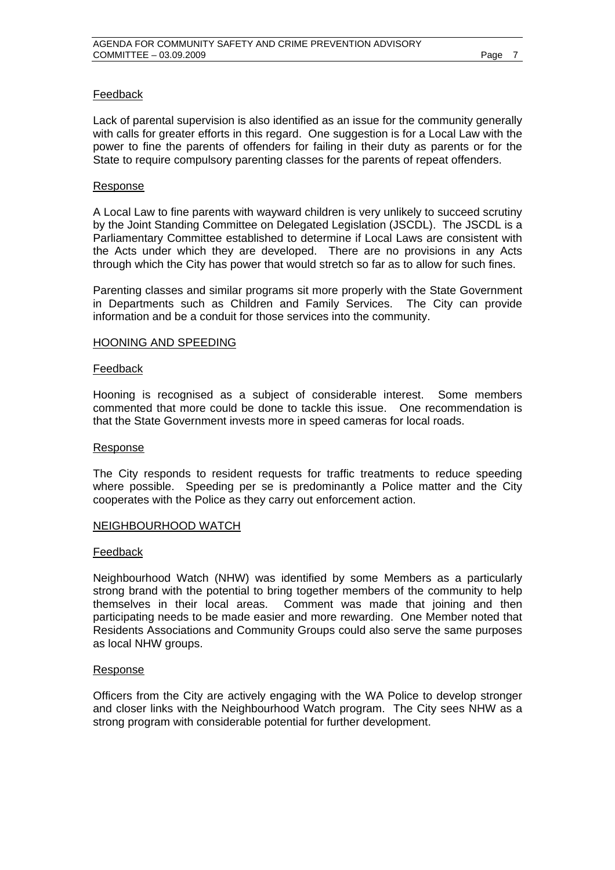## Feedback

Lack of parental supervision is also identified as an issue for the community generally with calls for greater efforts in this regard. One suggestion is for a Local Law with the power to fine the parents of offenders for failing in their duty as parents or for the State to require compulsory parenting classes for the parents of repeat offenders.

#### Response

A Local Law to fine parents with wayward children is very unlikely to succeed scrutiny by the Joint Standing Committee on Delegated Legislation (JSCDL). The JSCDL is a Parliamentary Committee established to determine if Local Laws are consistent with the Acts under which they are developed. There are no provisions in any Acts through which the City has power that would stretch so far as to allow for such fines.

Parenting classes and similar programs sit more properly with the State Government in Departments such as Children and Family Services. The City can provide information and be a conduit for those services into the community.

#### HOONING AND SPEEDING

#### Feedback

Hooning is recognised as a subject of considerable interest. Some members commented that more could be done to tackle this issue. One recommendation is that the State Government invests more in speed cameras for local roads.

#### Response

The City responds to resident requests for traffic treatments to reduce speeding where possible. Speeding per se is predominantly a Police matter and the City cooperates with the Police as they carry out enforcement action.

#### NEIGHBOURHOOD WATCH

#### Feedback

Neighbourhood Watch (NHW) was identified by some Members as a particularly strong brand with the potential to bring together members of the community to help themselves in their local areas. Comment was made that joining and then participating needs to be made easier and more rewarding. One Member noted that Residents Associations and Community Groups could also serve the same purposes as local NHW groups.

#### Response

Officers from the City are actively engaging with the WA Police to develop stronger and closer links with the Neighbourhood Watch program. The City sees NHW as a strong program with considerable potential for further development.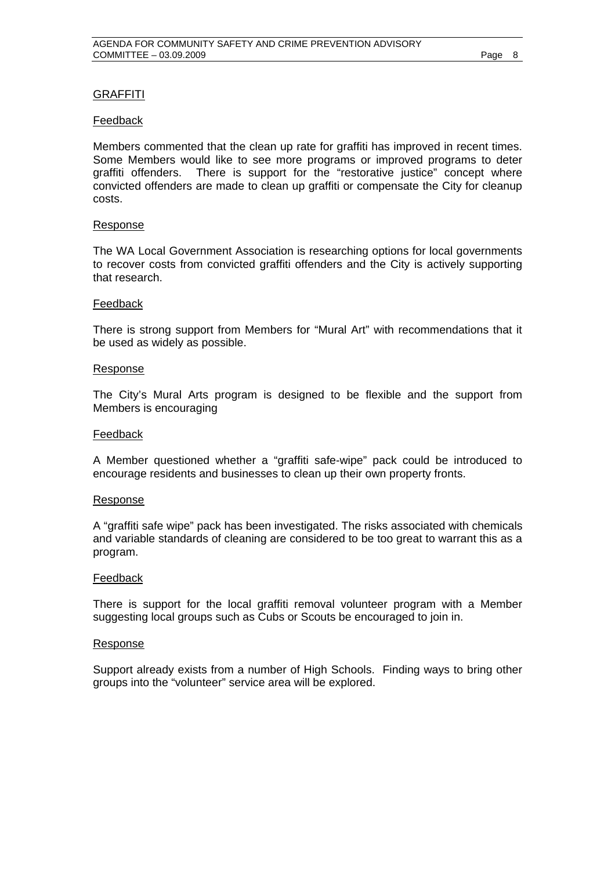## GRAFFITI

#### Feedback

Members commented that the clean up rate for graffiti has improved in recent times. Some Members would like to see more programs or improved programs to deter graffiti offenders. There is support for the "restorative justice" concept where convicted offenders are made to clean up graffiti or compensate the City for cleanup costs.

#### Response

The WA Local Government Association is researching options for local governments to recover costs from convicted graffiti offenders and the City is actively supporting that research.

#### Feedback

There is strong support from Members for "Mural Art" with recommendations that it be used as widely as possible.

#### Response

The City's Mural Arts program is designed to be flexible and the support from Members is encouraging

#### Feedback

A Member questioned whether a "graffiti safe-wipe" pack could be introduced to encourage residents and businesses to clean up their own property fronts.

#### Response

A "graffiti safe wipe" pack has been investigated. The risks associated with chemicals and variable standards of cleaning are considered to be too great to warrant this as a program.

#### Feedback

There is support for the local graffiti removal volunteer program with a Member suggesting local groups such as Cubs or Scouts be encouraged to join in.

#### Response

Support already exists from a number of High Schools. Finding ways to bring other groups into the "volunteer" service area will be explored.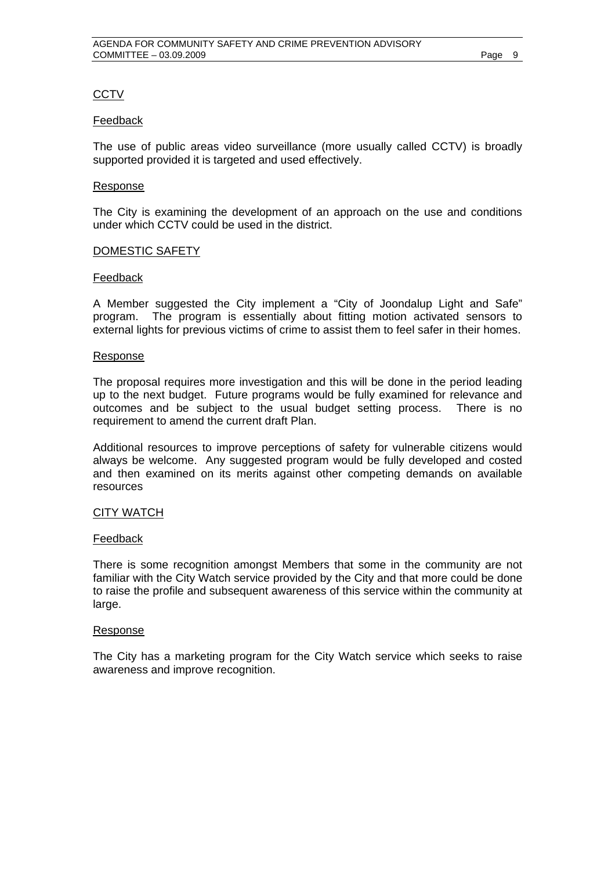## **CCTV**

#### Feedback

The use of public areas video surveillance (more usually called CCTV) is broadly supported provided it is targeted and used effectively.

#### Response

The City is examining the development of an approach on the use and conditions under which CCTV could be used in the district.

#### DOMESTIC SAFETY

#### Feedback

A Member suggested the City implement a "City of Joondalup Light and Safe" program. The program is essentially about fitting motion activated sensors to external lights for previous victims of crime to assist them to feel safer in their homes.

#### Response

The proposal requires more investigation and this will be done in the period leading up to the next budget. Future programs would be fully examined for relevance and outcomes and be subject to the usual budget setting process. There is no requirement to amend the current draft Plan.

Additional resources to improve perceptions of safety for vulnerable citizens would always be welcome. Any suggested program would be fully developed and costed and then examined on its merits against other competing demands on available resources

## CITY WATCH

#### Feedback

There is some recognition amongst Members that some in the community are not familiar with the City Watch service provided by the City and that more could be done to raise the profile and subsequent awareness of this service within the community at large.

### Response

The City has a marketing program for the City Watch service which seeks to raise awareness and improve recognition.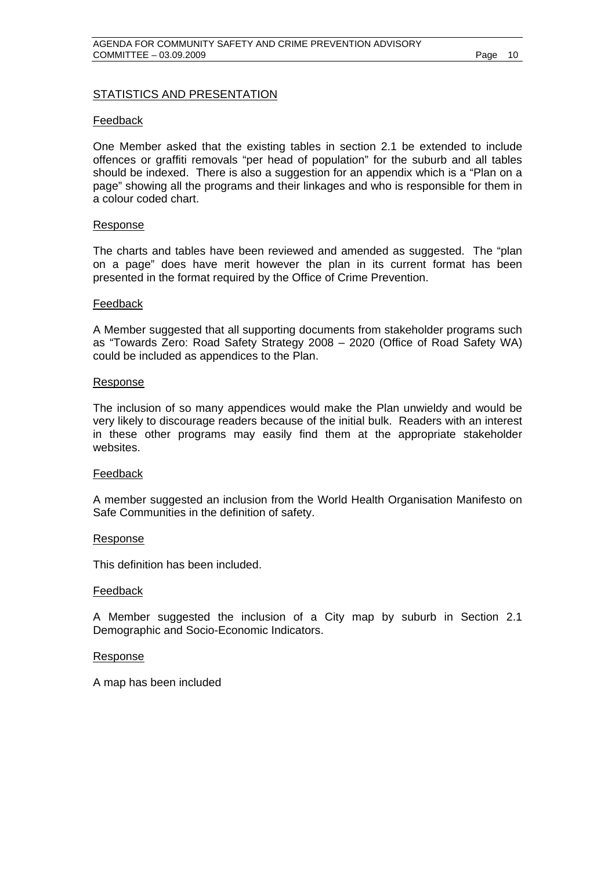## STATISTICS AND PRESENTATION

#### Feedback

One Member asked that the existing tables in section 2.1 be extended to include offences or graffiti removals "per head of population" for the suburb and all tables should be indexed. There is also a suggestion for an appendix which is a "Plan on a page" showing all the programs and their linkages and who is responsible for them in a colour coded chart.

#### Response

The charts and tables have been reviewed and amended as suggested. The "plan on a page" does have merit however the plan in its current format has been presented in the format required by the Office of Crime Prevention.

#### Feedback

A Member suggested that all supporting documents from stakeholder programs such as "Towards Zero: Road Safety Strategy 2008 – 2020 (Office of Road Safety WA) could be included as appendices to the Plan.

#### Response

The inclusion of so many appendices would make the Plan unwieldy and would be very likely to discourage readers because of the initial bulk. Readers with an interest in these other programs may easily find them at the appropriate stakeholder websites.

#### Feedback

A member suggested an inclusion from the World Health Organisation Manifesto on Safe Communities in the definition of safety.

#### Response

This definition has been included.

#### Feedback

A Member suggested the inclusion of a City map by suburb in Section 2.1 Demographic and Socio-Economic Indicators.

#### Response

A map has been included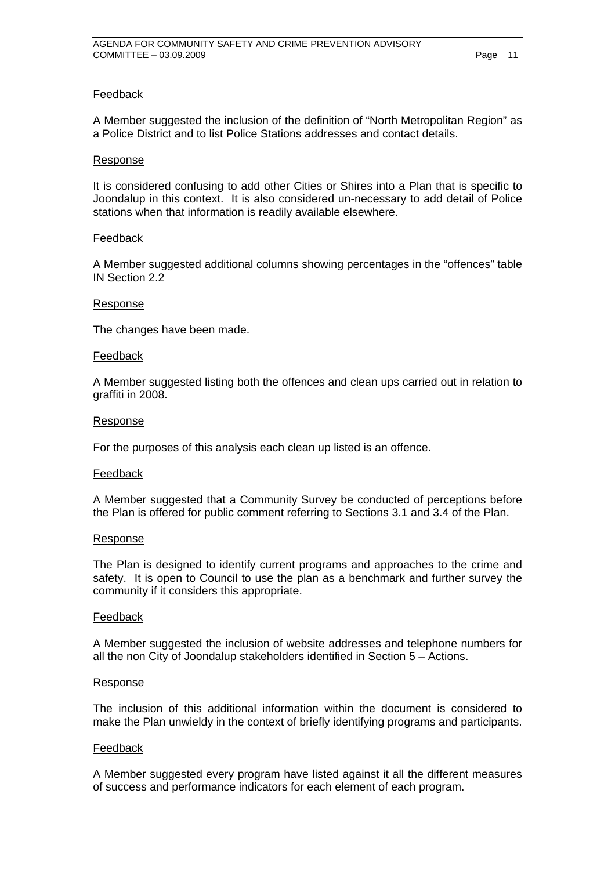## Feedback

A Member suggested the inclusion of the definition of "North Metropolitan Region" as a Police District and to list Police Stations addresses and contact details.

#### Response

It is considered confusing to add other Cities or Shires into a Plan that is specific to Joondalup in this context. It is also considered un-necessary to add detail of Police stations when that information is readily available elsewhere.

#### Feedback

A Member suggested additional columns showing percentages in the "offences" table IN Section 2.2

#### Response

The changes have been made.

#### Feedback

A Member suggested listing both the offences and clean ups carried out in relation to graffiti in 2008.

#### Response

For the purposes of this analysis each clean up listed is an offence.

#### Feedback

A Member suggested that a Community Survey be conducted of perceptions before the Plan is offered for public comment referring to Sections 3.1 and 3.4 of the Plan.

#### Response

The Plan is designed to identify current programs and approaches to the crime and safety. It is open to Council to use the plan as a benchmark and further survey the community if it considers this appropriate.

#### Feedback

A Member suggested the inclusion of website addresses and telephone numbers for all the non City of Joondalup stakeholders identified in Section 5 – Actions.

#### Response

The inclusion of this additional information within the document is considered to make the Plan unwieldy in the context of briefly identifying programs and participants.

#### Feedback

A Member suggested every program have listed against it all the different measures of success and performance indicators for each element of each program.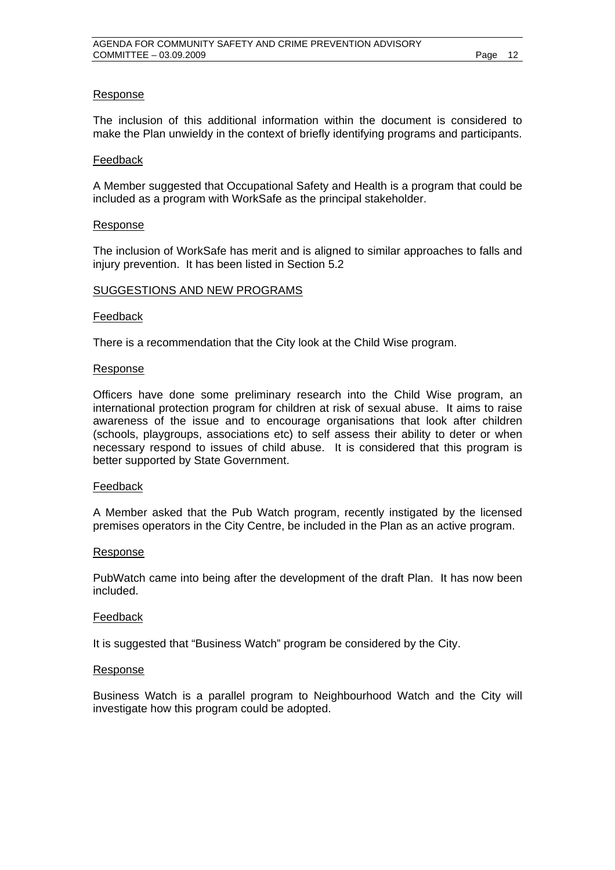## Response

The inclusion of this additional information within the document is considered to make the Plan unwieldy in the context of briefly identifying programs and participants.

#### Feedback

A Member suggested that Occupational Safety and Health is a program that could be included as a program with WorkSafe as the principal stakeholder.

#### Response

The inclusion of WorkSafe has merit and is aligned to similar approaches to falls and injury prevention. It has been listed in Section 5.2

#### SUGGESTIONS AND NEW PROGRAMS

#### Feedback

There is a recommendation that the City look at the Child Wise program.

#### Response

Officers have done some preliminary research into the Child Wise program, an international protection program for children at risk of sexual abuse. It aims to raise awareness of the issue and to encourage organisations that look after children (schools, playgroups, associations etc) to self assess their ability to deter or when necessary respond to issues of child abuse. It is considered that this program is better supported by State Government.

#### Feedback

A Member asked that the Pub Watch program, recently instigated by the licensed premises operators in the City Centre, be included in the Plan as an active program.

#### Response

PubWatch came into being after the development of the draft Plan. It has now been included.

#### Feedback

It is suggested that "Business Watch" program be considered by the City.

#### Response

Business Watch is a parallel program to Neighbourhood Watch and the City will investigate how this program could be adopted.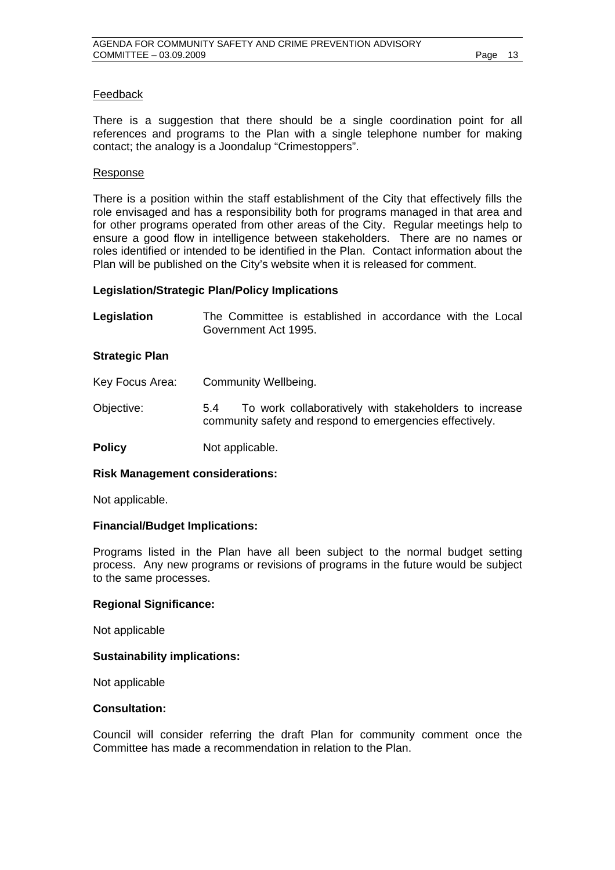## Feedback

There is a suggestion that there should be a single coordination point for all references and programs to the Plan with a single telephone number for making contact; the analogy is a Joondalup "Crimestoppers".

#### Response

There is a position within the staff establishment of the City that effectively fills the role envisaged and has a responsibility both for programs managed in that area and for other programs operated from other areas of the City. Regular meetings help to ensure a good flow in intelligence between stakeholders. There are no names or roles identified or intended to be identified in the Plan. Contact information about the Plan will be published on the City's website when it is released for comment.

#### **Legislation/Strategic Plan/Policy Implications**

| Legislation | The Committee is established in accordance with the Local |  |  |  |  |
|-------------|-----------------------------------------------------------|--|--|--|--|
|             | Government Act 1995.                                      |  |  |  |  |

#### **Strategic Plan**

| Key Focus Area: | Community Wellbeing.                                                                                                     |  |  |  |  |
|-----------------|--------------------------------------------------------------------------------------------------------------------------|--|--|--|--|
| Objective:      | To work collaboratively with stakeholders to increase<br>5.4<br>community safety and respond to emergencies effectively. |  |  |  |  |
| <b>Policy</b>   | Not applicable.                                                                                                          |  |  |  |  |

#### **Risk Management considerations:**

Not applicable.

## **Financial/Budget Implications:**

Programs listed in the Plan have all been subject to the normal budget setting process. Any new programs or revisions of programs in the future would be subject to the same processes.

### **Regional Significance:**

Not applicable

## **Sustainability implications:**

Not applicable

#### **Consultation:**

Council will consider referring the draft Plan for community comment once the Committee has made a recommendation in relation to the Plan.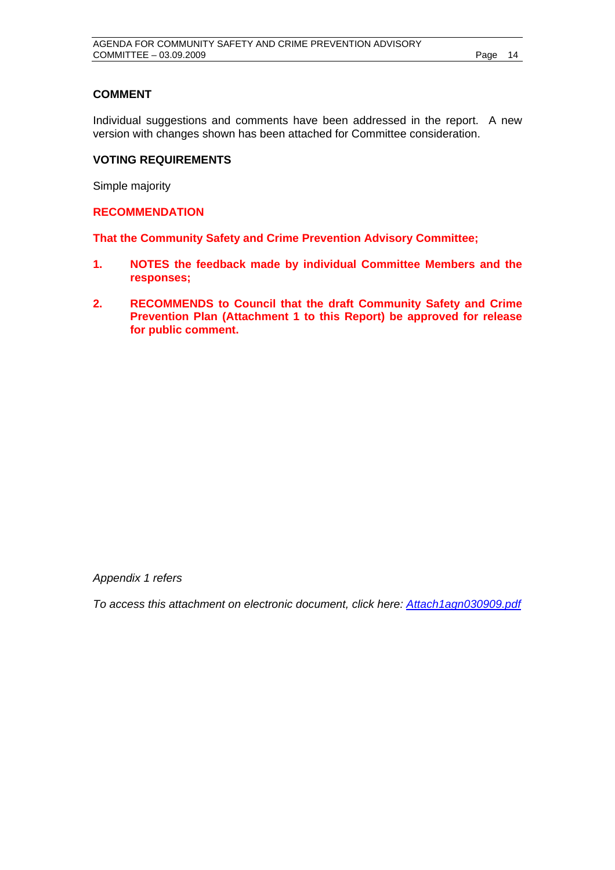## **COMMENT**

Individual suggestions and comments have been addressed in the report. A new version with changes shown has been attached for Committee consideration.

## **VOTING REQUIREMENTS**

Simple majority

**RECOMMENDATION** 

**That the Community Safety and Crime Prevention Advisory Committee;** 

- **1. NOTES the feedback made by individual Committee Members and the responses;**
- **2. RECOMMENDS to Council that the draft Community Safety and Crime Prevention Plan (Attachment 1 to this Report) be approved for release for public comment.**

*Appendix 1 refers* 

*To access this attachment on electronic document, click here:<Attach1agn030909.pdf>*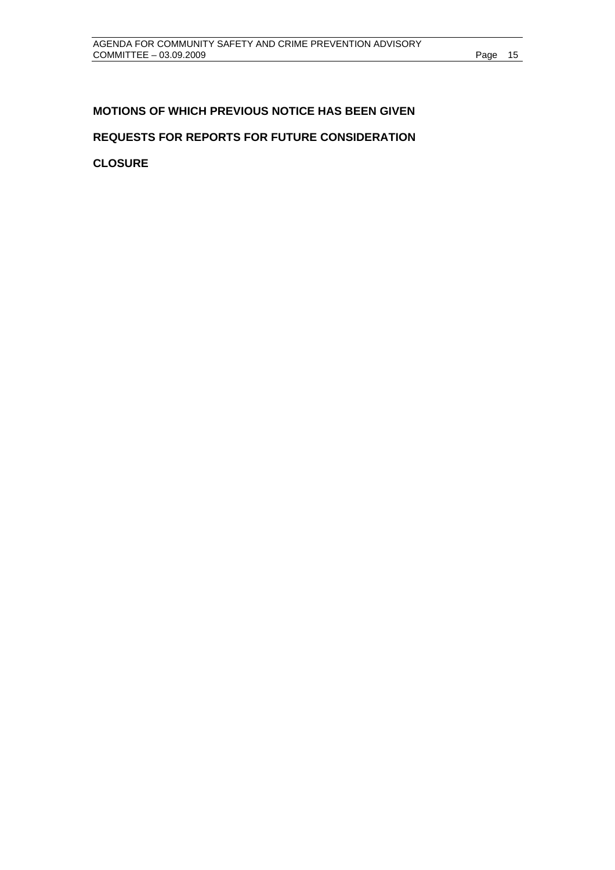## <span id="page-14-0"></span>**MOTIONS OF WHICH PREVIOUS NOTICE HAS BEEN GIVEN REQUESTS FOR REPORTS FOR FUTURE CONSIDERATION**

**CLOSURE**